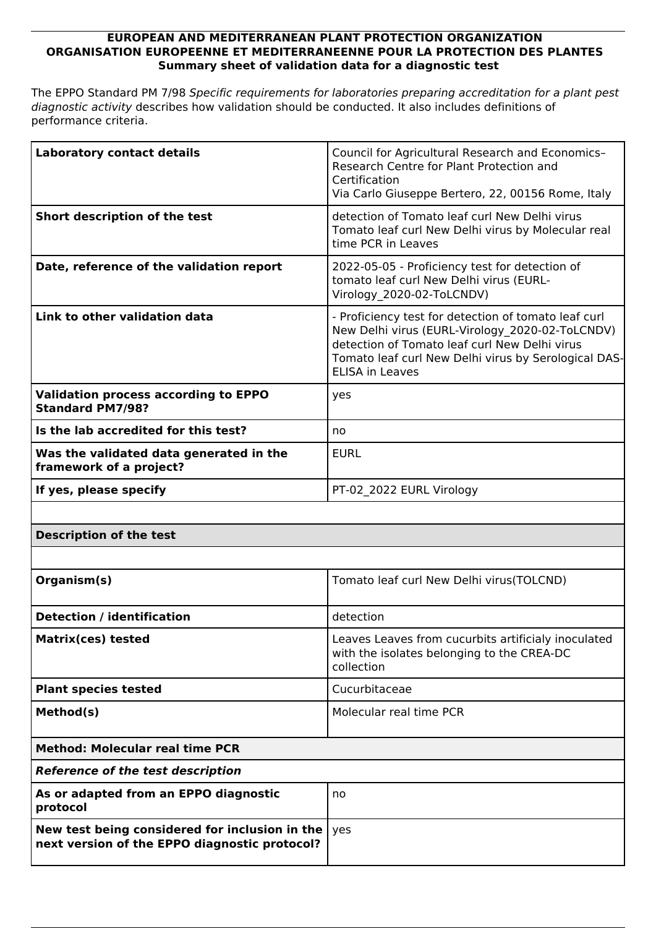## **EUROPEAN AND MEDITERRANEAN PLANT PROTECTION ORGANIZATION ORGANISATION EUROPEENNE ET MEDITERRANEENNE POUR LA PROTECTION DES PLANTES Summary sheet of validation data for a diagnostic test**

The EPPO Standard PM 7/98 *Specific requirements for laboratories preparing accreditation for a plant pest diagnostic activity* describes how validation should be conducted. It also includes definitions of performance criteria.

| <b>Laboratory contact details</b>                                                               | Council for Agricultural Research and Economics-<br>Research Centre for Plant Protection and<br>Certification<br>Via Carlo Giuseppe Bertero, 22, 00156 Rome, Italy                                                                         |
|-------------------------------------------------------------------------------------------------|--------------------------------------------------------------------------------------------------------------------------------------------------------------------------------------------------------------------------------------------|
| Short description of the test                                                                   | detection of Tomato leaf curl New Delhi virus<br>Tomato leaf curl New Delhi virus by Molecular real<br>time PCR in Leaves                                                                                                                  |
| Date, reference of the validation report                                                        | 2022-05-05 - Proficiency test for detection of<br>tomato leaf curl New Delhi virus (EURL-<br>Virology 2020-02-ToLCNDV)                                                                                                                     |
| Link to other validation data                                                                   | - Proficiency test for detection of tomato leaf curl<br>New Delhi virus (EURL-Virology 2020-02-ToLCNDV)<br>detection of Tomato leaf curl New Delhi virus<br>Tomato leaf curl New Delhi virus by Serological DAS-<br><b>ELISA in Leaves</b> |
| <b>Validation process according to EPPO</b><br><b>Standard PM7/98?</b>                          | yes                                                                                                                                                                                                                                        |
| Is the lab accredited for this test?                                                            | no                                                                                                                                                                                                                                         |
| Was the validated data generated in the<br>framework of a project?                              | <b>EURL</b>                                                                                                                                                                                                                                |
| If yes, please specify                                                                          | PT-02 2022 EURL Virology                                                                                                                                                                                                                   |
|                                                                                                 |                                                                                                                                                                                                                                            |
| <b>Description of the test</b>                                                                  |                                                                                                                                                                                                                                            |
|                                                                                                 |                                                                                                                                                                                                                                            |
| Organism(s)                                                                                     | Tomato leaf curl New Delhi virus (TOLCND)                                                                                                                                                                                                  |
| <b>Detection / identification</b>                                                               | detection                                                                                                                                                                                                                                  |
| <b>Matrix(ces) tested</b>                                                                       | Leaves Leaves from cucurbits artificialy inoculated<br>with the isolates belonging to the CREA-DC<br>collection                                                                                                                            |
| <b>Plant species tested</b>                                                                     | Cucurbitaceae                                                                                                                                                                                                                              |
| Method(s)                                                                                       | Molecular real time PCR                                                                                                                                                                                                                    |
| <b>Method: Molecular real time PCR</b>                                                          |                                                                                                                                                                                                                                            |
| <b>Reference of the test description</b>                                                        |                                                                                                                                                                                                                                            |
| As or adapted from an EPPO diagnostic<br>protocol                                               | no                                                                                                                                                                                                                                         |
| New test being considered for inclusion in the<br>next version of the EPPO diagnostic protocol? | yes                                                                                                                                                                                                                                        |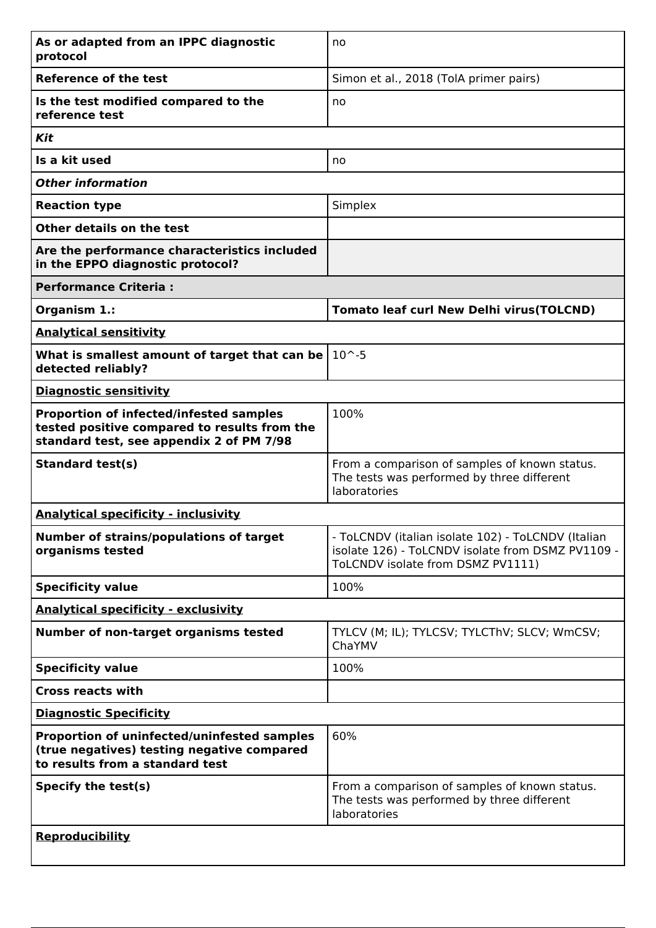| As or adapted from an IPPC diagnostic<br>protocol                                                                                          | no                                                                                                                                           |
|--------------------------------------------------------------------------------------------------------------------------------------------|----------------------------------------------------------------------------------------------------------------------------------------------|
| <b>Reference of the test</b>                                                                                                               | Simon et al., 2018 (TolA primer pairs)                                                                                                       |
| Is the test modified compared to the<br>reference test                                                                                     | no                                                                                                                                           |
| Kit                                                                                                                                        |                                                                                                                                              |
| Is a kit used                                                                                                                              | no                                                                                                                                           |
| <b>Other information</b>                                                                                                                   |                                                                                                                                              |
| <b>Reaction type</b>                                                                                                                       | Simplex                                                                                                                                      |
| Other details on the test                                                                                                                  |                                                                                                                                              |
| Are the performance characteristics included<br>in the EPPO diagnostic protocol?                                                           |                                                                                                                                              |
| <b>Performance Criteria:</b>                                                                                                               |                                                                                                                                              |
| Organism 1.:                                                                                                                               | <b>Tomato leaf curl New Delhi virus(TOLCND)</b>                                                                                              |
| <b>Analytical sensitivity</b>                                                                                                              |                                                                                                                                              |
| What is smallest amount of target that can be<br>detected reliably?                                                                        | $10^{\sim}.5$                                                                                                                                |
| <b>Diagnostic sensitivity</b>                                                                                                              |                                                                                                                                              |
| <b>Proportion of infected/infested samples</b><br>tested positive compared to results from the<br>standard test, see appendix 2 of PM 7/98 | 100%                                                                                                                                         |
| <b>Standard test(s)</b>                                                                                                                    | From a comparison of samples of known status.<br>The tests was performed by three different<br>laboratories                                  |
| <b>Analytical specificity - inclusivity</b>                                                                                                |                                                                                                                                              |
| <b>Number of strains/populations of target</b><br>organisms tested                                                                         | - ToLCNDV (italian isolate 102) - ToLCNDV (Italian<br>isolate 126) - ToLCNDV isolate from DSMZ PV1109 -<br>ToLCNDV isolate from DSMZ PV1111) |
| <b>Specificity value</b>                                                                                                                   | 100%                                                                                                                                         |
| <b>Analytical specificity - exclusivity</b>                                                                                                |                                                                                                                                              |
| Number of non-target organisms tested                                                                                                      | TYLCV (M; IL); TYLCSV; TYLCThV; SLCV; WmCSV;<br>ChaYMV                                                                                       |
| <b>Specificity value</b>                                                                                                                   | 100%                                                                                                                                         |
| <b>Cross reacts with</b>                                                                                                                   |                                                                                                                                              |
| <b>Diagnostic Specificity</b>                                                                                                              |                                                                                                                                              |
| Proportion of uninfected/uninfested samples<br>(true negatives) testing negative compared<br>to results from a standard test               | 60%                                                                                                                                          |
| Specify the test(s)                                                                                                                        | From a comparison of samples of known status.<br>The tests was performed by three different<br>laboratories                                  |
| <b>Reproducibility</b>                                                                                                                     |                                                                                                                                              |